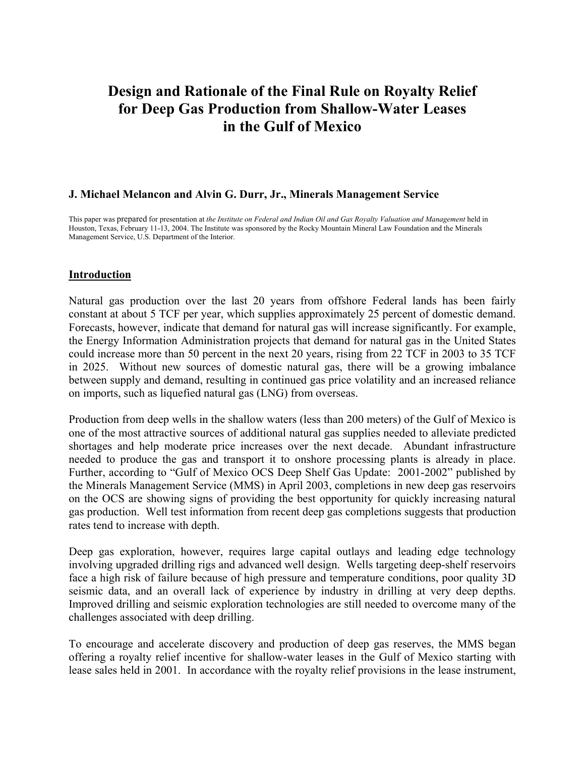# **Design and Rationale of the Final Rule on Royalty Relief for Deep Gas Production from Shallow-Water Leases in the Gulf of Mexico**

#### **J. Michael Melancon and Alvin G. Durr, Jr., Minerals Management Service**

This paper was prepared for presentation at *the Institute on Federal and Indian Oil and Gas Royalty Valuation and Management* held in Houston, Texas, February 11-13, 2004. The Institute was sponsored by the Rocky Mountain Mineral Law Foundation and the Minerals Management Service, U.S. Department of the Interior.

#### **Introduction**

Natural gas production over the last 20 years from offshore Federal lands has been fairly constant at about 5 TCF per year, which supplies approximately 25 percent of domestic demand. Forecasts, however, indicate that demand for natural gas will increase significantly. For example, the Energy Information Administration projects that demand for natural gas in the United States could increase more than 50 percent in the next 20 years, rising from 22 TCF in 2003 to 35 TCF in 2025. Without new sources of domestic natural gas, there will be a growing imbalance between supply and demand, resulting in continued gas price volatility and an increased reliance on imports, such as liquefied natural gas (LNG) from overseas.

Production from deep wells in the shallow waters (less than 200 meters) of the Gulf of Mexico is one of the most attractive sources of additional natural gas supplies needed to alleviate predicted shortages and help moderate price increases over the next decade. Abundant infrastructure needed to produce the gas and transport it to onshore processing plants is already in place. Further, according to "Gulf of Mexico OCS Deep Shelf Gas Update: 2001-2002" published by the Minerals Management Service (MMS) in April 2003, completions in new deep gas reservoirs on the OCS are showing signs of providing the best opportunity for quickly increasing natural gas production. Well test information from recent deep gas completions suggests that production rates tend to increase with depth.

Deep gas exploration, however, requires large capital outlays and leading edge technology involving upgraded drilling rigs and advanced well design. Wells targeting deep-shelf reservoirs face a high risk of failure because of high pressure and temperature conditions, poor quality 3D seismic data, and an overall lack of experience by industry in drilling at very deep depths. Improved drilling and seismic exploration technologies are still needed to overcome many of the challenges associated with deep drilling.

To encourage and accelerate discovery and production of deep gas reserves, the MMS began offering a royalty relief incentive for shallow-water leases in the Gulf of Mexico starting with lease sales held in 2001. In accordance with the royalty relief provisions in the lease instrument,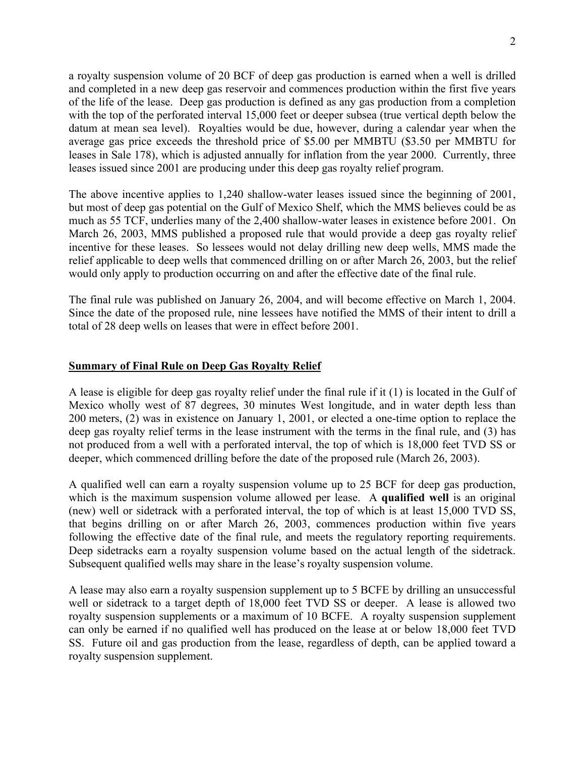a royalty suspension volume of 20 BCF of deep gas production is earned when a well is drilled and completed in a new deep gas reservoir and commences production within the first five years of the life of the lease. Deep gas production is defined as any gas production from a completion with the top of the perforated interval 15,000 feet or deeper subsea (true vertical depth below the datum at mean sea level). Royalties would be due, however, during a calendar year when the average gas price exceeds the threshold price of \$5.00 per MMBTU (\$3.50 per MMBTU for leases in Sale 178), which is adjusted annually for inflation from the year 2000. Currently, three leases issued since 2001 are producing under this deep gas royalty relief program.

The above incentive applies to 1,240 shallow-water leases issued since the beginning of 2001, but most of deep gas potential on the Gulf of Mexico Shelf, which the MMS believes could be as much as 55 TCF, underlies many of the 2,400 shallow-water leases in existence before 2001. On March 26, 2003, MMS published a proposed rule that would provide a deep gas royalty relief incentive for these leases. So lessees would not delay drilling new deep wells, MMS made the relief applicable to deep wells that commenced drilling on or after March 26, 2003, but the relief would only apply to production occurring on and after the effective date of the final rule.

The final rule was published on January 26, 2004, and will become effective on March 1, 2004. Since the date of the proposed rule, nine lessees have notified the MMS of their intent to drill a total of 28 deep wells on leases that were in effect before 2001.

# **Summary of Final Rule on Deep Gas Royalty Relief**

A lease is eligible for deep gas royalty relief under the final rule if it (1) is located in the Gulf of Mexico wholly west of 87 degrees, 30 minutes West longitude, and in water depth less than 200 meters, (2) was in existence on January 1, 2001, or elected a one-time option to replace the deep gas royalty relief terms in the lease instrument with the terms in the final rule, and (3) has not produced from a well with a perforated interval, the top of which is 18,000 feet TVD SS or deeper, which commenced drilling before the date of the proposed rule (March 26, 2003).

A qualified well can earn a royalty suspension volume up to 25 BCF for deep gas production, which is the maximum suspension volume allowed per lease. A **qualified well** is an original (new) well or sidetrack with a perforated interval, the top of which is at least 15,000 TVD SS, that begins drilling on or after March 26, 2003, commences production within five years following the effective date of the final rule, and meets the regulatory reporting requirements. Deep sidetracks earn a royalty suspension volume based on the actual length of the sidetrack. Subsequent qualified wells may share in the lease's royalty suspension volume.

A lease may also earn a royalty suspension supplement up to 5 BCFE by drilling an unsuccessful well or sidetrack to a target depth of 18,000 feet TVD SS or deeper. A lease is allowed two royalty suspension supplements or a maximum of 10 BCFE. A royalty suspension supplement can only be earned if no qualified well has produced on the lease at or below 18,000 feet TVD SS. Future oil and gas production from the lease, regardless of depth, can be applied toward a royalty suspension supplement.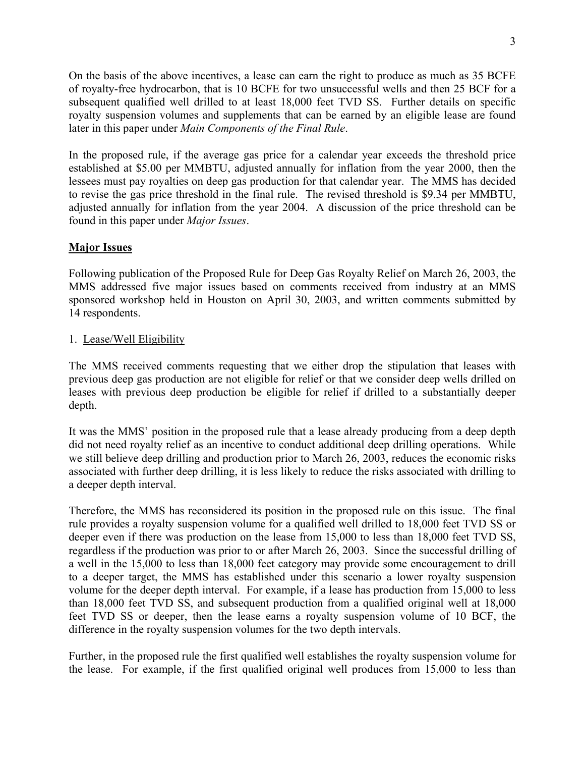On the basis of the above incentives, a lease can earn the right to produce as much as 35 BCFE of royalty-free hydrocarbon, that is 10 BCFE for two unsuccessful wells and then 25 BCF for a subsequent qualified well drilled to at least 18,000 feet TVD SS. Further details on specific royalty suspension volumes and supplements that can be earned by an eligible lease are found later in this paper under *Main Components of the Final Rule*.

In the proposed rule, if the average gas price for a calendar year exceeds the threshold price established at \$5.00 per MMBTU, adjusted annually for inflation from the year 2000, then the lessees must pay royalties on deep gas production for that calendar year. The MMS has decided to revise the gas price threshold in the final rule. The revised threshold is \$9.34 per MMBTU, adjusted annually for inflation from the year 2004. A discussion of the price threshold can be found in this paper under *Major Issues*.

# **Major Issues**

Following publication of the Proposed Rule for Deep Gas Royalty Relief on March 26, 2003, the MMS addressed five major issues based on comments received from industry at an MMS sponsored workshop held in Houston on April 30, 2003, and written comments submitted by 14 respondents.

# 1. Lease/Well Eligibility

The MMS received comments requesting that we either drop the stipulation that leases with previous deep gas production are not eligible for relief or that we consider deep wells drilled on leases with previous deep production be eligible for relief if drilled to a substantially deeper depth.

It was the MMS' position in the proposed rule that a lease already producing from a deep depth did not need royalty relief as an incentive to conduct additional deep drilling operations. While we still believe deep drilling and production prior to March 26, 2003, reduces the economic risks associated with further deep drilling, it is less likely to reduce the risks associated with drilling to a deeper depth interval.

Therefore, the MMS has reconsidered its position in the proposed rule on this issue. The final rule provides a royalty suspension volume for a qualified well drilled to 18,000 feet TVD SS or deeper even if there was production on the lease from 15,000 to less than 18,000 feet TVD SS, regardless if the production was prior to or after March 26, 2003. Since the successful drilling of a well in the 15,000 to less than 18,000 feet category may provide some encouragement to drill to a deeper target, the MMS has established under this scenario a lower royalty suspension volume for the deeper depth interval. For example, if a lease has production from 15,000 to less than 18,000 feet TVD SS, and subsequent production from a qualified original well at 18,000 feet TVD SS or deeper, then the lease earns a royalty suspension volume of 10 BCF, the difference in the royalty suspension volumes for the two depth intervals.

Further, in the proposed rule the first qualified well establishes the royalty suspension volume for the lease. For example, if the first qualified original well produces from 15,000 to less than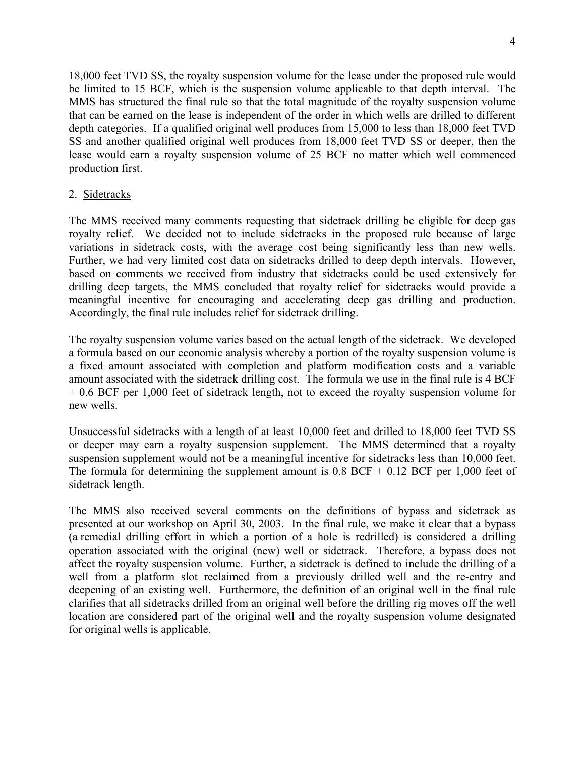18,000 feet TVD SS, the royalty suspension volume for the lease under the proposed rule would be limited to 15 BCF, which is the suspension volume applicable to that depth interval. The MMS has structured the final rule so that the total magnitude of the royalty suspension volume that can be earned on the lease is independent of the order in which wells are drilled to different depth categories. If a qualified original well produces from 15,000 to less than 18,000 feet TVD SS and another qualified original well produces from 18,000 feet TVD SS or deeper, then the lease would earn a royalty suspension volume of 25 BCF no matter which well commenced production first.

# 2. Sidetracks

The MMS received many comments requesting that sidetrack drilling be eligible for deep gas royalty relief. We decided not to include sidetracks in the proposed rule because of large variations in sidetrack costs, with the average cost being significantly less than new wells. Further, we had very limited cost data on sidetracks drilled to deep depth intervals. However, based on comments we received from industry that sidetracks could be used extensively for drilling deep targets, the MMS concluded that royalty relief for sidetracks would provide a meaningful incentive for encouraging and accelerating deep gas drilling and production. Accordingly, the final rule includes relief for sidetrack drilling.

The royalty suspension volume varies based on the actual length of the sidetrack. We developed a formula based on our economic analysis whereby a portion of the royalty suspension volume is a fixed amount associated with completion and platform modification costs and a variable amount associated with the sidetrack drilling cost. The formula we use in the final rule is 4 BCF + 0.6 BCF per 1,000 feet of sidetrack length, not to exceed the royalty suspension volume for new wells.

Unsuccessful sidetracks with a length of at least 10,000 feet and drilled to 18,000 feet TVD SS or deeper may earn a royalty suspension supplement. The MMS determined that a royalty suspension supplement would not be a meaningful incentive for sidetracks less than 10,000 feet. The formula for determining the supplement amount is  $0.8$  BCF +  $0.12$  BCF per 1,000 feet of sidetrack length.

The MMS also received several comments on the definitions of bypass and sidetrack as presented at our workshop on April 30, 2003. In the final rule, we make it clear that a bypass (a remedial drilling effort in which a portion of a hole is redrilled) is considered a drilling operation associated with the original (new) well or sidetrack. Therefore, a bypass does not affect the royalty suspension volume. Further, a sidetrack is defined to include the drilling of a well from a platform slot reclaimed from a previously drilled well and the re-entry and deepening of an existing well. Furthermore, the definition of an original well in the final rule clarifies that all sidetracks drilled from an original well before the drilling rig moves off the well location are considered part of the original well and the royalty suspension volume designated for original wells is applicable.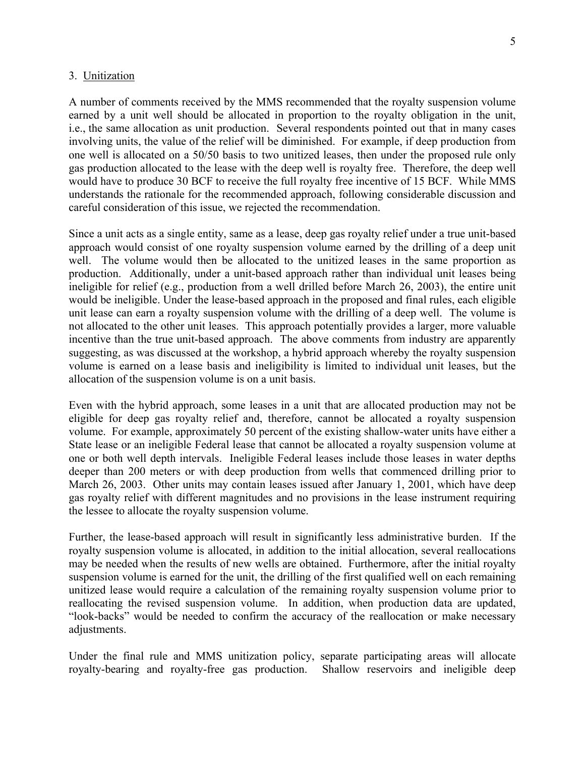#### 3. Unitization

A number of comments received by the MMS recommended that the royalty suspension volume earned by a unit well should be allocated in proportion to the royalty obligation in the unit, i.e., the same allocation as unit production. Several respondents pointed out that in many cases involving units, the value of the relief will be diminished. For example, if deep production from one well is allocated on a 50/50 basis to two unitized leases, then under the proposed rule only gas production allocated to the lease with the deep well is royalty free. Therefore, the deep well would have to produce 30 BCF to receive the full royalty free incentive of 15 BCF. While MMS understands the rationale for the recommended approach, following considerable discussion and careful consideration of this issue, we rejected the recommendation.

Since a unit acts as a single entity, same as a lease, deep gas royalty relief under a true unit-based approach would consist of one royalty suspension volume earned by the drilling of a deep unit well. The volume would then be allocated to the unitized leases in the same proportion as production. Additionally, under a unit-based approach rather than individual unit leases being ineligible for relief (e.g., production from a well drilled before March 26, 2003), the entire unit would be ineligible. Under the lease-based approach in the proposed and final rules, each eligible unit lease can earn a royalty suspension volume with the drilling of a deep well. The volume is not allocated to the other unit leases. This approach potentially provides a larger, more valuable incentive than the true unit-based approach. The above comments from industry are apparently suggesting, as was discussed at the workshop, a hybrid approach whereby the royalty suspension volume is earned on a lease basis and ineligibility is limited to individual unit leases, but the allocation of the suspension volume is on a unit basis.

Even with the hybrid approach, some leases in a unit that are allocated production may not be eligible for deep gas royalty relief and, therefore, cannot be allocated a royalty suspension volume. For example, approximately 50 percent of the existing shallow-water units have either a State lease or an ineligible Federal lease that cannot be allocated a royalty suspension volume at one or both well depth intervals. Ineligible Federal leases include those leases in water depths deeper than 200 meters or with deep production from wells that commenced drilling prior to March 26, 2003. Other units may contain leases issued after January 1, 2001, which have deep gas royalty relief with different magnitudes and no provisions in the lease instrument requiring the lessee to allocate the royalty suspension volume.

Further, the lease-based approach will result in significantly less administrative burden. If the royalty suspension volume is allocated, in addition to the initial allocation, several reallocations may be needed when the results of new wells are obtained. Furthermore, after the initial royalty suspension volume is earned for the unit, the drilling of the first qualified well on each remaining unitized lease would require a calculation of the remaining royalty suspension volume prior to reallocating the revised suspension volume. In addition, when production data are updated, "look-backs" would be needed to confirm the accuracy of the reallocation or make necessary adjustments.

Under the final rule and MMS unitization policy, separate participating areas will allocate royalty-bearing and royalty-free gas production. Shallow reservoirs and ineligible deep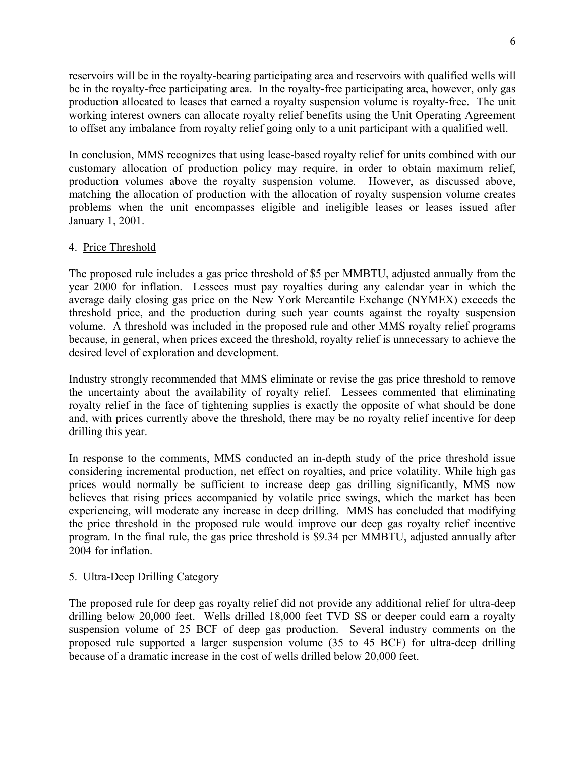reservoirs will be in the royalty-bearing participating area and reservoirs with qualified wells will be in the royalty-free participating area. In the royalty-free participating area, however, only gas production allocated to leases that earned a royalty suspension volume is royalty-free. The unit working interest owners can allocate royalty relief benefits using the Unit Operating Agreement to offset any imbalance from royalty relief going only to a unit participant with a qualified well.

In conclusion, MMS recognizes that using lease-based royalty relief for units combined with our customary allocation of production policy may require, in order to obtain maximum relief, production volumes above the royalty suspension volume. However, as discussed above, matching the allocation of production with the allocation of royalty suspension volume creates problems when the unit encompasses eligible and ineligible leases or leases issued after January 1, 2001.

# 4. Price Threshold

The proposed rule includes a gas price threshold of \$5 per MMBTU, adjusted annually from the year 2000 for inflation. Lessees must pay royalties during any calendar year in which the average daily closing gas price on the New York Mercantile Exchange (NYMEX) exceeds the threshold price, and the production during such year counts against the royalty suspension volume. A threshold was included in the proposed rule and other MMS royalty relief programs because, in general, when prices exceed the threshold, royalty relief is unnecessary to achieve the desired level of exploration and development.

Industry strongly recommended that MMS eliminate or revise the gas price threshold to remove the uncertainty about the availability of royalty relief. Lessees commented that eliminating royalty relief in the face of tightening supplies is exactly the opposite of what should be done and, with prices currently above the threshold, there may be no royalty relief incentive for deep drilling this year.

In response to the comments, MMS conducted an in-depth study of the price threshold issue considering incremental production, net effect on royalties, and price volatility. While high gas prices would normally be sufficient to increase deep gas drilling significantly, MMS now believes that rising prices accompanied by volatile price swings, which the market has been experiencing, will moderate any increase in deep drilling. MMS has concluded that modifying the price threshold in the proposed rule would improve our deep gas royalty relief incentive program. In the final rule, the gas price threshold is \$9.34 per MMBTU, adjusted annually after 2004 for inflation.

### 5. Ultra-Deep Drilling Category

The proposed rule for deep gas royalty relief did not provide any additional relief for ultra-deep drilling below 20,000 feet. Wells drilled 18,000 feet TVD SS or deeper could earn a royalty suspension volume of 25 BCF of deep gas production. Several industry comments on the proposed rule supported a larger suspension volume (35 to 45 BCF) for ultra-deep drilling because of a dramatic increase in the cost of wells drilled below 20,000 feet.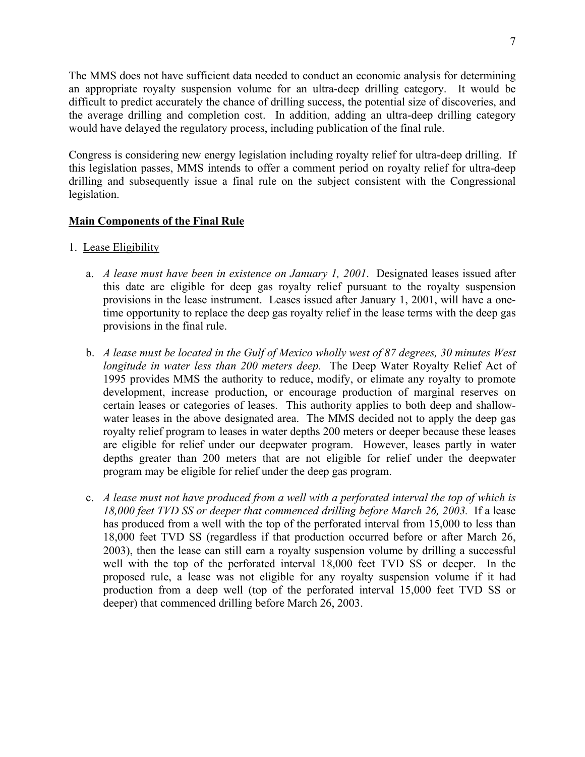The MMS does not have sufficient data needed to conduct an economic analysis for determining an appropriate royalty suspension volume for an ultra-deep drilling category. It would be difficult to predict accurately the chance of drilling success, the potential size of discoveries, and the average drilling and completion cost. In addition, adding an ultra-deep drilling category would have delayed the regulatory process, including publication of the final rule.

Congress is considering new energy legislation including royalty relief for ultra-deep drilling. If this legislation passes, MMS intends to offer a comment period on royalty relief for ultra-deep drilling and subsequently issue a final rule on the subject consistent with the Congressional legislation.

# **Main Components of the Final Rule**

- 1. Lease Eligibility
	- a. *A lease must have been in existence on January 1, 2001*. Designated leases issued after this date are eligible for deep gas royalty relief pursuant to the royalty suspension provisions in the lease instrument. Leases issued after January 1, 2001, will have a onetime opportunity to replace the deep gas royalty relief in the lease terms with the deep gas provisions in the final rule.
	- b. *A lease must be located in the Gulf of Mexico wholly west of 87 degrees, 30 minutes West longitude in water less than 200 meters deep.* The Deep Water Royalty Relief Act of 1995 provides MMS the authority to reduce, modify, or elimate any royalty to promote development, increase production, or encourage production of marginal reserves on certain leases or categories of leases. This authority applies to both deep and shallowwater leases in the above designated area. The MMS decided not to apply the deep gas royalty relief program to leases in water depths 200 meters or deeper because these leases are eligible for relief under our deepwater program. However, leases partly in water depths greater than 200 meters that are not eligible for relief under the deepwater program may be eligible for relief under the deep gas program.
	- c. *A lease must not have produced from a well with a perforated interval the top of which is 18,000 feet TVD SS or deeper that commenced drilling before March 26, 2003.* If a lease has produced from a well with the top of the perforated interval from 15,000 to less than 18,000 feet TVD SS (regardless if that production occurred before or after March 26, 2003), then the lease can still earn a royalty suspension volume by drilling a successful well with the top of the perforated interval 18,000 feet TVD SS or deeper. In the proposed rule, a lease was not eligible for any royalty suspension volume if it had production from a deep well (top of the perforated interval 15,000 feet TVD SS or deeper) that commenced drilling before March 26, 2003.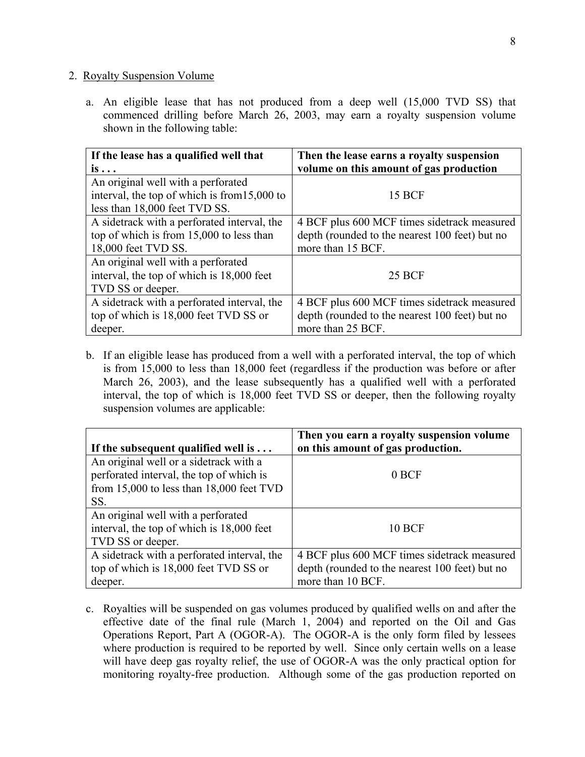#### 2. Royalty Suspension Volume

a. An eligible lease that has not produced from a deep well (15,000 TVD SS) that commenced drilling before March 26, 2003, may earn a royalty suspension volume shown in the following table:

| If the lease has a qualified well that         | Then the lease earns a royalty suspension      |
|------------------------------------------------|------------------------------------------------|
| $is \ldots$                                    | volume on this amount of gas production        |
| An original well with a perforated             |                                                |
| interval, the top of which is from $15,000$ to | <b>15 BCF</b>                                  |
| less than 18,000 feet TVD SS.                  |                                                |
| A sidetrack with a perforated interval, the    | 4 BCF plus 600 MCF times sidetrack measured    |
| top of which is from 15,000 to less than       | depth (rounded to the nearest 100 feet) but no |
| 18,000 feet TVD SS.                            | more than 15 BCF.                              |
| An original well with a perforated             |                                                |
| interval, the top of which is 18,000 feet      | <b>25 BCF</b>                                  |
| TVD SS or deeper.                              |                                                |
| A sidetrack with a perforated interval, the    | 4 BCF plus 600 MCF times sidetrack measured    |
| top of which is 18,000 feet TVD SS or          | depth (rounded to the nearest 100 feet) but no |
| deeper.                                        | more than 25 BCF.                              |

b. If an eligible lease has produced from a well with a perforated interval, the top of which is from 15,000 to less than 18,000 feet (regardless if the production was before or after March 26, 2003), and the lease subsequently has a qualified well with a perforated interval, the top of which is 18,000 feet TVD SS or deeper, then the following royalty suspension volumes are applicable:

| If the subsequent qualified well is $\dots$  | Then you earn a royalty suspension volume<br>on this amount of gas production. |
|----------------------------------------------|--------------------------------------------------------------------------------|
| An original well or a sidetrack with a       |                                                                                |
| perforated interval, the top of which is     | 0 BCF                                                                          |
| from $15,000$ to less than $18,000$ feet TVD |                                                                                |
| SS.                                          |                                                                                |
| An original well with a perforated           |                                                                                |
| interval, the top of which is 18,000 feet    | <b>10 BCF</b>                                                                  |
| TVD SS or deeper.                            |                                                                                |
| A sidetrack with a perforated interval, the  | 4 BCF plus 600 MCF times sidetrack measured                                    |
| top of which is 18,000 feet TVD SS or        | depth (rounded to the nearest 100 feet) but no                                 |
| deeper.                                      | more than 10 BCF.                                                              |

c. Royalties will be suspended on gas volumes produced by qualified wells on and after the effective date of the final rule (March 1, 2004) and reported on the Oil and Gas Operations Report, Part A (OGOR-A). The OGOR-A is the only form filed by lessees where production is required to be reported by well. Since only certain wells on a lease will have deep gas royalty relief, the use of OGOR-A was the only practical option for monitoring royalty-free production. Although some of the gas production reported on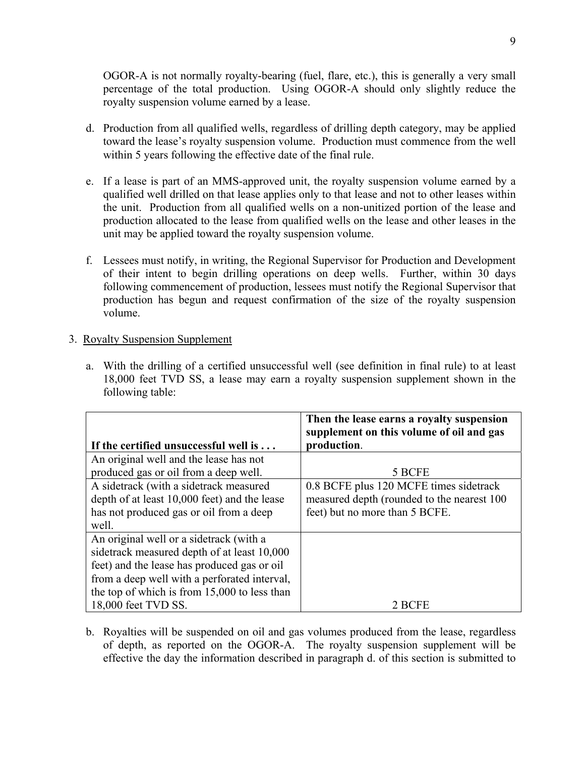OGOR-A is not normally royalty-bearing (fuel, flare, etc.), this is generally a very small percentage of the total production. Using OGOR-A should only slightly reduce the royalty suspension volume earned by a lease.

- d. Production from all qualified wells, regardless of drilling depth category, may be applied toward the lease's royalty suspension volume. Production must commence from the well within 5 years following the effective date of the final rule.
- e. If a lease is part of an MMS-approved unit, the royalty suspension volume earned by a qualified well drilled on that lease applies only to that lease and not to other leases within the unit. Production from all qualified wells on a non-unitized portion of the lease and production allocated to the lease from qualified wells on the lease and other leases in the unit may be applied toward the royalty suspension volume.
- f. Lessees must notify, in writing, the Regional Supervisor for Production and Development of their intent to begin drilling operations on deep wells. Further, within 30 days following commencement of production, lessees must notify the Regional Supervisor that production has begun and request confirmation of the size of the royalty suspension volume.

### 3. Royalty Suspension Supplement

a. With the drilling of a certified unsuccessful well (see definition in final rule) to at least 18,000 feet TVD SS, a lease may earn a royalty suspension supplement shown in the following table:

|                                                | Then the lease earns a royalty suspension<br>supplement on this volume of oil and gas |
|------------------------------------------------|---------------------------------------------------------------------------------------|
| If the certified unsuccessful well is          | production.                                                                           |
| An original well and the lease has not         |                                                                                       |
| produced gas or oil from a deep well.          | 5 BCFE                                                                                |
| A sidetrack (with a sidetrack measured         | 0.8 BCFE plus 120 MCFE times sidetrack                                                |
| depth of at least 10,000 feet) and the lease   | measured depth (rounded to the nearest 100                                            |
| has not produced gas or oil from a deep        | feet) but no more than 5 BCFE.                                                        |
| well.                                          |                                                                                       |
| An original well or a sidetrack (with a        |                                                                                       |
| sidetrack measured depth of at least 10,000    |                                                                                       |
| feet) and the lease has produced gas or oil    |                                                                                       |
| from a deep well with a perforated interval,   |                                                                                       |
| the top of which is from $15,000$ to less than |                                                                                       |
| 18,000 feet TVD SS.                            | 2 BCFE                                                                                |

b. Royalties will be suspended on oil and gas volumes produced from the lease, regardless of depth, as reported on the OGOR-A. The royalty suspension supplement will be effective the day the information described in paragraph d. of this section is submitted to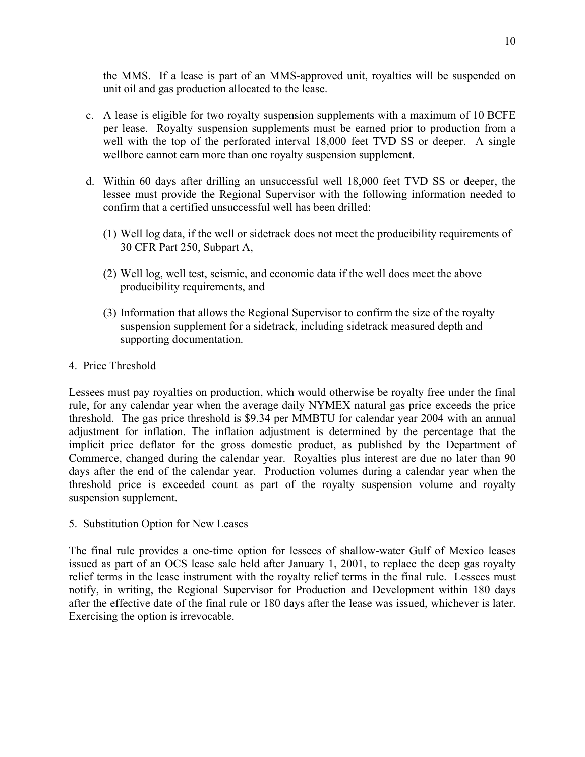the MMS. If a lease is part of an MMS-approved unit, royalties will be suspended on unit oil and gas production allocated to the lease.

- c. A lease is eligible for two royalty suspension supplements with a maximum of 10 BCFE per lease. Royalty suspension supplements must be earned prior to production from a well with the top of the perforated interval 18,000 feet TVD SS or deeper. A single wellbore cannot earn more than one royalty suspension supplement.
- d. Within 60 days after drilling an unsuccessful well 18,000 feet TVD SS or deeper, the lessee must provide the Regional Supervisor with the following information needed to confirm that a certified unsuccessful well has been drilled:
	- (1) Well log data, if the well or sidetrack does not meet the producibility requirements of 30 CFR Part 250, Subpart A,
	- (2) Well log, well test, seismic, and economic data if the well does meet the above producibility requirements, and
	- (3) Information that allows the Regional Supervisor to confirm the size of the royalty suspension supplement for a sidetrack, including sidetrack measured depth and supporting documentation.

# 4. Price Threshold

Lessees must pay royalties on production, which would otherwise be royalty free under the final rule, for any calendar year when the average daily NYMEX natural gas price exceeds the price threshold. The gas price threshold is \$9.34 per MMBTU for calendar year 2004 with an annual adjustment for inflation. The inflation adjustment is determined by the percentage that the implicit price deflator for the gross domestic product, as published by the Department of Commerce, changed during the calendar year. Royalties plus interest are due no later than 90 days after the end of the calendar year. Production volumes during a calendar year when the threshold price is exceeded count as part of the royalty suspension volume and royalty suspension supplement.

### 5. Substitution Option for New Leases

The final rule provides a one-time option for lessees of shallow-water Gulf of Mexico leases issued as part of an OCS lease sale held after January 1, 2001, to replace the deep gas royalty relief terms in the lease instrument with the royalty relief terms in the final rule. Lessees must notify, in writing, the Regional Supervisor for Production and Development within 180 days after the effective date of the final rule or 180 days after the lease was issued, whichever is later. Exercising the option is irrevocable.